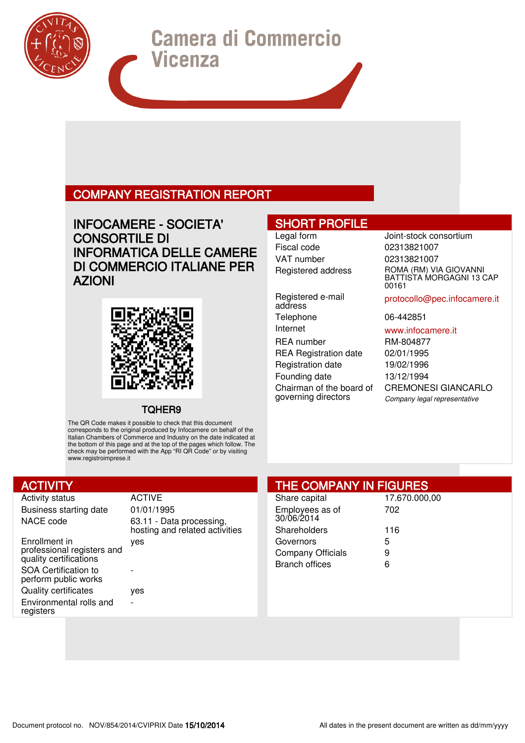# COMPANY REGISTRATION REPORT

# INFOCAMERE - SOCIETA' CONSORTILE DI INFORMATICA DELLE CAMERE DI COMMERCIO ITALIANE PER AZIONI

# SHORT PROFILE

Fiscal code 02313821007 VAT number 02313821007

Registered e-mail address Telephone 06-442851 Internet www.infocamere.it REA number RM-804877 REA Registration date 02/01/1995 Registration date 19/02/1996 Founding date 13/12/1994 Chairman of the board of governing directors

Legal form **Joint-stock consortium** Registered address ROMA (RM) VIA GIOVANNI BATTISTA MORGAGNI 13 CAP 00161

protocollo@pec.infocamere.it

CREMONESI GIANCARLO Company legal representative

### TQHER9

The QR Code makes it possible to check that this document corresponds to the original produced by Infocamere on behalf of the Italian Chambers of Commerce and Industry on the date indicated at the bottom of this page and at the top of the pages which follow. The check may be performed with the App "RI QR Code" or by visiting www.registroimprese.it

# **ACTIVITY**

Activity status **ACTIVE** Business starting date 01/01/1995

Enrollment in professional registers and quality certifications SOA Certification to perform public works Quality certificates yes Environmental rolls and registers

NACE code 63.11 - Data processing, hosting and related activities yes

# THE COMPANY IN FIGURES

| Share capital                 | 17.670.000,00 |
|-------------------------------|---------------|
| Employees as of<br>30/06/2014 | 702           |
| Shareholders                  | 116           |
| Governors                     | 5             |
| Company Officials             | 9             |
| <b>Branch offices</b>         | ี่ค           |
|                               |               |

-

-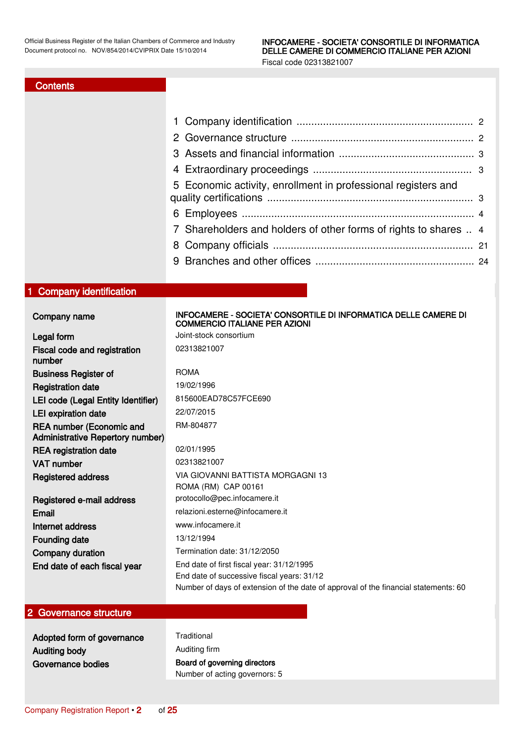### **Contents**

<span id="page-1-0"></span>

|                                                                            | 1<br>$\mathbf{2}^{\prime}$<br>3<br>4<br>Economic activity, enrollment in professional registers and<br>5<br>6<br>Shareholders and holders of other forms of rights to shares  4<br>8 |  |
|----------------------------------------------------------------------------|--------------------------------------------------------------------------------------------------------------------------------------------------------------------------------------|--|
| 1 Company identification                                                   |                                                                                                                                                                                      |  |
| Company name                                                               | INFOCAMERE - SOCIETA' CONSORTILE DI INFORMATICA DELLE CAMERE DI<br><b>COMMERCIO ITALIANE PER AZIONI</b>                                                                              |  |
| Legal form                                                                 | Joint-stock consortium                                                                                                                                                               |  |
| Fiscal code and registration                                               | 02313821007                                                                                                                                                                          |  |
| number                                                                     |                                                                                                                                                                                      |  |
| <b>Business Register of</b>                                                | <b>ROMA</b>                                                                                                                                                                          |  |
| <b>Registration date</b>                                                   | 19/02/1996                                                                                                                                                                           |  |
| LEI code (Legal Entity Identifier)                                         | 815600EAD78C57FCE690                                                                                                                                                                 |  |
| <b>LEI</b> expiration date                                                 | 22/07/2015                                                                                                                                                                           |  |
| <b>REA number (Economic and</b><br><b>Administrative Repertory number)</b> | RM-804877                                                                                                                                                                            |  |
| <b>REA</b> registration date                                               | 02/01/1995                                                                                                                                                                           |  |
| <b>VAT number</b>                                                          | 02313821007                                                                                                                                                                          |  |
| <b>Registered address</b>                                                  | VIA GIOVANNI BATTISTA MORGAGNI 13                                                                                                                                                    |  |
|                                                                            | ROMA (RM) CAP 00161                                                                                                                                                                  |  |
| Registered e-mail address                                                  | protocollo@pec.infocamere.it                                                                                                                                                         |  |
| Email                                                                      | relazioni.esterne@infocamere.it                                                                                                                                                      |  |
| Internet address                                                           | www.infocamere.it                                                                                                                                                                    |  |
| <b>Founding date</b>                                                       | 13/12/1994                                                                                                                                                                           |  |
| Company duration                                                           | Termination date: 31/12/2050                                                                                                                                                         |  |
| End date of each fiscal year                                               | End date of first fiscal year: 31/12/1995                                                                                                                                            |  |
|                                                                            | End date of successive fiscal years: 31/12<br>Number of days of extension of the date of approval of the financial statements: 60                                                    |  |
|                                                                            |                                                                                                                                                                                      |  |
| 2 Governance structure                                                     |                                                                                                                                                                                      |  |

<span id="page-1-1"></span>Adopted form of governance Traditional Auditing body **Auditing firm** Governance bodies **Board of governing directors** Number of acting governors: 5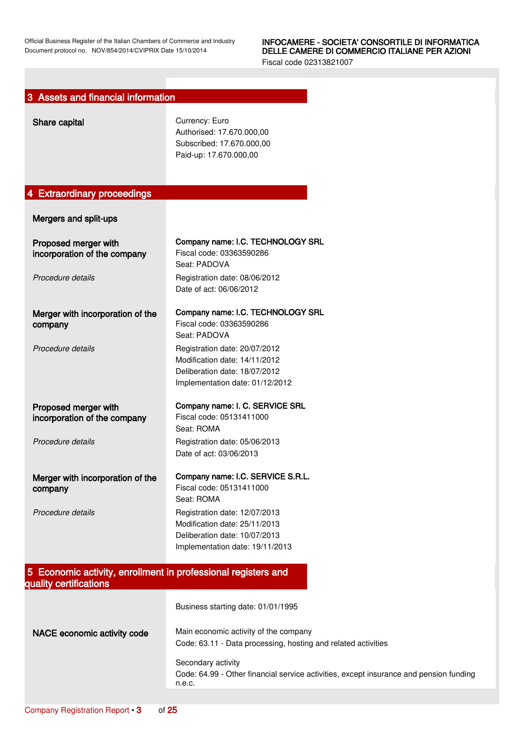<span id="page-2-2"></span><span id="page-2-1"></span><span id="page-2-0"></span>

| 3 Assets and financial information                                                      |                                                                                                                                    |
|-----------------------------------------------------------------------------------------|------------------------------------------------------------------------------------------------------------------------------------|
| Share capital                                                                           | Currency: Euro<br>Authorised: 17.670.000,00<br>Subscribed: 17.670.000,00<br>Paid-up: 17.670.000,00                                 |
| 4 Extraordinary proceedings                                                             |                                                                                                                                    |
| Mergers and split-ups                                                                   |                                                                                                                                    |
| Proposed merger with<br>incorporation of the company                                    | Company name: I.C. TECHNOLOGY SRL<br>Fiscal code: 03363590286<br>Seat: PADOVA                                                      |
| Procedure details                                                                       | Registration date: 08/06/2012<br>Date of act: 06/06/2012                                                                           |
| Merger with incorporation of the<br>company                                             | Company name: I.C. TECHNOLOGY SRL<br>Fiscal code: 03363590286<br>Seat: PADOVA                                                      |
| Procedure details                                                                       | Registration date: 20/07/2012<br>Modification date: 14/11/2012<br>Deliberation date: 18/07/2012<br>Implementation date: 01/12/2012 |
| Proposed merger with<br>incorporation of the company                                    | Company name: I. C. SERVICE SRL<br>Fiscal code: 05131411000<br>Seat: ROMA                                                          |
| Procedure details                                                                       | Registration date: 05/06/2013<br>Date of act: 03/06/2013                                                                           |
| Merger with incorporation of the<br>company                                             | Company name: I.C. SERVICE S.R.L.<br>Fiscal code: 05131411000<br>Seat: ROMA                                                        |
| Procedure details                                                                       | Registration date: 12/07/2013<br>Modification date: 25/11/2013<br>Deliberation date: 10/07/2013<br>Implementation date: 19/11/2013 |
| 5 Economic activity, enrollment in professional registers and<br>quality certifications |                                                                                                                                    |
|                                                                                         | Business starting date: 01/01/1995                                                                                                 |
| NACE economic activity code                                                             | Main economic activity of the company<br>Code: 63.11 - Data processing, hosting and related activities                             |
|                                                                                         | Secondary activity<br>Code: 64.99 - Other financial service activities, except insurance and pension funding<br>n.e.c.             |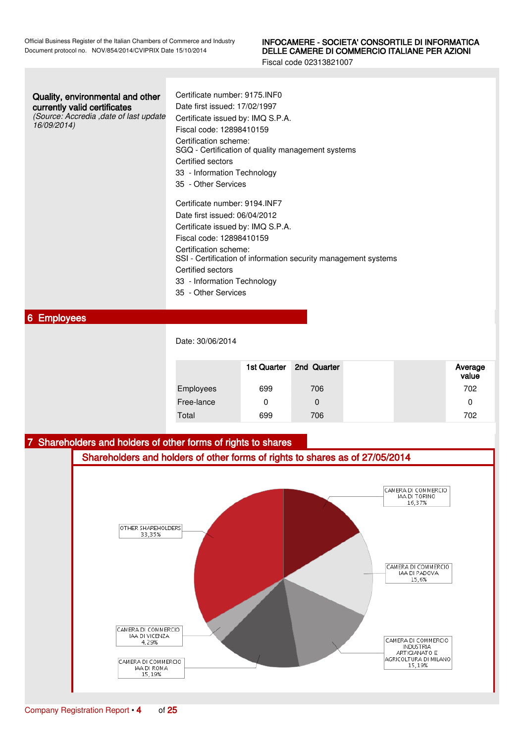Fiscal code 02313821007

| Quality, environmental and other |
|----------------------------------|
| currently valid certificates     |

(Source: Accredia ,date of last update 16/09/2014)

Certificate number: 9175.INF0 Date first issued: 17/02/1997 Certificate issued by: IMQ S.P.A. Fiscal code: 12898410159 Certification scheme: SGQ - Certification of quality management systems Certified sectors 33 - Information Technology 35 - Other Services Certificate number: 9194.INF7 Date first issued: 06/04/2012 Certificate issued by: IMQ S.P.A. Fiscal code: 12898410159 Certification scheme: SSI - Certification of information security management systems Certified sectors 33 - Information Technology

35 - Other Services

### <span id="page-3-0"></span>6 Employees

Date: 30/06/2014

|            | 1st Quarter | 2nd Quarter | Average<br>value |
|------------|-------------|-------------|------------------|
| Employees  | 699         | 706         | 702              |
| Free-lance |             | 0           | 0                |
| Total      | 699         | 706         | 702              |

### <span id="page-3-1"></span>7 Shareholders and holders of other forms of rights to shares

Shareholders and holders of other forms of rights to shares as of 27/05/2014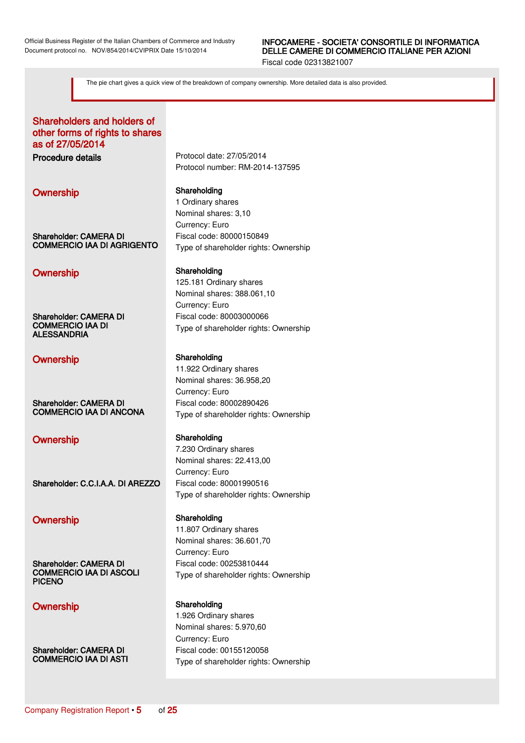Fiscal code 02313821007

The pie chart gives a quick view of the breakdown of company ownership. More detailed data is also provided.

### Shareholders and holders of other forms of rights to shares as of 27/05/2014

Shareholder: CAMERA DI COMMERCIO IAA DI AGRIGENTO

### Ownership Shareholding

Shareholder: CAMERA DI COMMERCIO IAA DI ALESSANDRIA

### Ownership Shareholding

Shareholder: CAMERA DI COMMERCIO IAA DI ANCONA

### Ownership Shareholding

Shareholder: C.C.I.A.A. DI AREZZO Fiscal code: 80001990516

# Ownership Shareholding

Shareholder: CAMERA DI COMMERCIO IAA DI ASCOLI PICENO

Shareholder: CAMERA DI COMMERCIO IAA DI ASTI

Procedure details Protocol date: 27/05/2014 Protocol number: RM-2014-137595

### Ownership Shareholding

1 Ordinary shares Nominal shares: 3,10 Currency: Euro Fiscal code: 80000150849 Type of shareholder rights: Ownership

125.181 Ordinary shares Nominal shares: 388.061,10 Currency: Euro Fiscal code: 80003000066 Type of shareholder rights: Ownership

11.922 Ordinary shares Nominal shares: 36.958,20 Currency: Euro Fiscal code: 80002890426 Type of shareholder rights: Ownership

7.230 Ordinary shares Nominal shares: 22.413,00 Currency: Euro Type of shareholder rights: Ownership

11.807 Ordinary shares Nominal shares: 36.601,70 Currency: Euro Fiscal code: 00253810444 Type of shareholder rights: Ownership

### Ownership Shareholding

1.926 Ordinary shares Nominal shares: 5.970,60 Currency: Euro Fiscal code: 00155120058 Type of shareholder rights: Ownership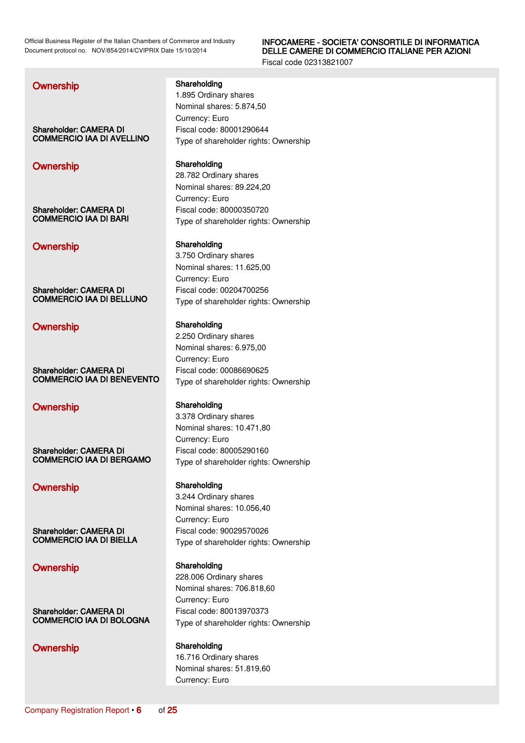### INFOCAMERE - SOCIETA' CONSORTILE DI INFORMATICA DELLE CAMERE DI COMMERCIO ITALIANE PER AZIONI

Fiscal code 02313821007

### **Ownership Shareholding** Shareholding

Shareholder: CAMERA DI COMMERCIO IAA DI AVELLINO

# Ownership Shareholding

Shareholder: CAMERA DI COMMERCIO IAA DI BARI

### Ownership Shareholding

Shareholder: CAMERA DI COMMERCIO IAA DI BELLUNO

Shareholder: CAMERA DI COMMERCIO IAA DI BENEVENTO

### Ownership Shareholding

Shareholder: CAMERA DI COMMERCIO IAA DI BERGAMO

### Ownership Shareholding

Shareholder: CAMERA DI COMMERCIO IAA DI BIELLA

# Ownership Shareholding

Shareholder: CAMERA DI COMMERCIO IAA DI BOLOGNA

Currency: Euro

1.895 Ordinary shares Nominal shares: 5.874,50 Currency: Euro Fiscal code: 80001290644 Type of shareholder rights: Ownership

28.782 Ordinary shares Nominal shares: 89.224,20 Currency: Euro Fiscal code: 80000350720 Type of shareholder rights: Ownership

3.750 Ordinary shares Nominal shares: 11.625,00 Currency: Euro Fiscal code: 00204700256 Type of shareholder rights: Ownership

# Ownership Shareholding

2.250 Ordinary shares Nominal shares: 6.975,00 Currency: Euro Fiscal code: 00086690625 Type of shareholder rights: Ownership

3.378 Ordinary shares Nominal shares: 10.471,80 Currency: Euro Fiscal code: 80005290160 Type of shareholder rights: Ownership

3.244 Ordinary shares Nominal shares: 10.056,40 Currency: Euro Fiscal code: 90029570026 Type of shareholder rights: Ownership

228.006 Ordinary shares Nominal shares: 706.818,60 Currency: Euro Fiscal code: 80013970373 Type of shareholder rights: Ownership

### Ownership Shareholding

16.716 Ordinary shares Nominal shares: 51.819,60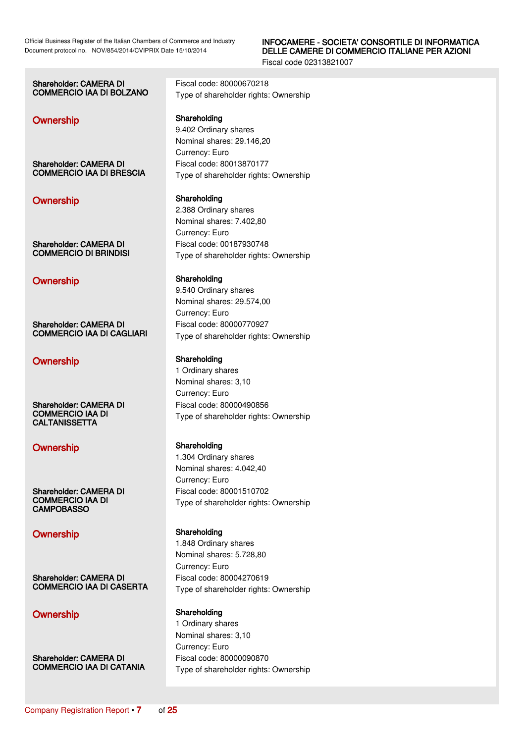Fiscal code 02313821007

### Shareholder: CAMERA DI COMMERCIO IAA DI BOLZANO

### Ownership Shareholding

Shareholder: CAMERA DI COMMERCIO IAA DI BRESCIA

Shareholder: CAMERA DI COMMERCIO DI BRINDISI

### Ownership Shareholding

Shareholder: CAMERA DI COMMERCIO IAA DI CAGLIARI

### Ownership Shareholding

Shareholder: CAMERA DI COMMERCIO IAA DI **CALTANISSETTA** 

# Ownership Shareholding

Shareholder: CAMERA DI COMMERCIO IAA DI **CAMPOBASSO** 

### Ownership Shareholding

Shareholder: CAMERA DI COMMERCIO IAA DI CASERTA

# Ownership Shareholding

Shareholder: CAMERA DI COMMERCIO IAA DI CATANIA Fiscal code: 80000670218 Type of shareholder rights: Ownership 9.402 Ordinary shares

Nominal shares: 29.146,20 Currency: Euro Fiscal code: 80013870177 Type of shareholder rights: Ownership

### Ownership Shareholding

2.388 Ordinary shares Nominal shares: 7.402,80 Currency: Euro Fiscal code: 00187930748 Type of shareholder rights: Ownership

9.540 Ordinary shares Nominal shares: 29.574,00 Currency: Euro Fiscal code: 80000770927 Type of shareholder rights: Ownership

1 Ordinary shares Nominal shares: 3,10 Currency: Euro Fiscal code: 80000490856 Type of shareholder rights: Ownership

1.304 Ordinary shares Nominal shares: 4.042,40 Currency: Euro Fiscal code: 80001510702 Type of shareholder rights: Ownership

1.848 Ordinary shares Nominal shares: 5.728,80 Currency: Euro Fiscal code: 80004270619 Type of shareholder rights: Ownership

1 Ordinary shares Nominal shares: 3,10 Currency: Euro Fiscal code: 80000090870 Type of shareholder rights: Ownership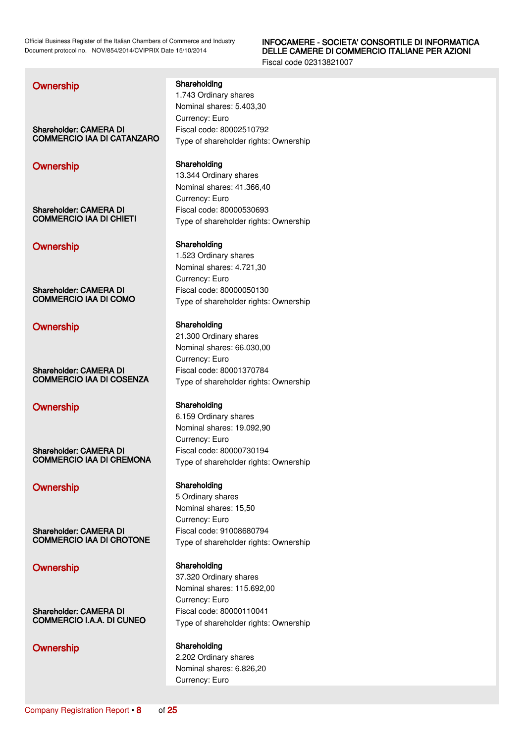### INFOCAMERE - SOCIETA' CONSORTILE DI INFORMATICA DELLE CAMERE DI COMMERCIO ITALIANE PER AZIONI

Fiscal code 02313821007

**Ownership Shareholding** Shareholding

Shareholder: CAMERA DI COMMERCIO IAA DI CATANZARO

# Ownership Shareholding

Shareholder: CAMERA DI COMMERCIO IAA DI CHIETI

### Ownership Shareholding

Shareholder: CAMERA DI COMMERCIO IAA DI COMO

Shareholder: CAMERA DI COMMERCIO IAA DI COSENZA

### Ownership Shareholding

Shareholder: CAMERA DI COMMERCIO IAA DI CREMONA

### Ownership Shareholding

Shareholder: CAMERA DI COMMERCIO IAA DI CROTONE

# Ownership Shareholding

Shareholder: CAMERA DI COMMERCIO I.A.A. DI CUNEO

# Ownership Shareholding

1.743 Ordinary shares Nominal shares: 5.403,30 Currency: Euro Fiscal code: 80002510792 Type of shareholder rights: Ownership

13.344 Ordinary shares Nominal shares: 41.366,40 Currency: Euro Fiscal code: 80000530693 Type of shareholder rights: Ownership

1.523 Ordinary shares Nominal shares: 4.721,30 Currency: Euro Fiscal code: 80000050130 Type of shareholder rights: Ownership

### Ownership Shareholding

21.300 Ordinary shares Nominal shares: 66.030,00 Currency: Euro Fiscal code: 80001370784 Type of shareholder rights: Ownership

6.159 Ordinary shares Nominal shares: 19.092,90 Currency: Euro Fiscal code: 80000730194 Type of shareholder rights: Ownership

5 Ordinary shares Nominal shares: 15,50 Currency: Euro Fiscal code: 91008680794 Type of shareholder rights: Ownership

37.320 Ordinary shares Nominal shares: 115.692,00 Currency: Euro Fiscal code: 80000110041 Type of shareholder rights: Ownership

2.202 Ordinary shares Nominal shares: 6.826,20 Currency: Euro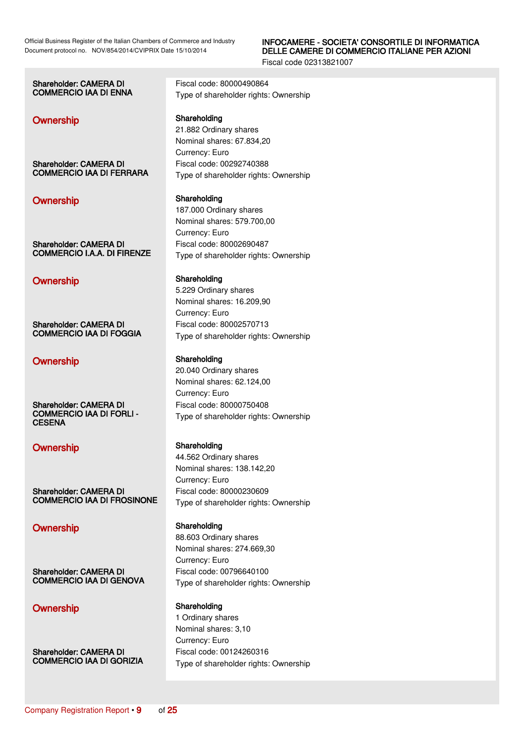### INFOCAMERE - SOCIETA' CONSORTILE DI INFORMATICA DELLE CAMERE DI COMMERCIO ITALIANE PER AZIONI

Fiscal code 02313821007

| <b>Shareholder: CAMERA DI</b>                    | Fiscal code: 80000490864              |
|--------------------------------------------------|---------------------------------------|
| <b>COMMERCIO IAA DI ENNA</b>                     | Type of shareholder rights: Ownership |
|                                                  |                                       |
| Ownership                                        | Shareholding                          |
|                                                  | 21.882 Ordinary shares                |
|                                                  | Nominal shares: 67.834,20             |
|                                                  | Currency: Euro                        |
| Shareholder: CAMERA DI                           | Fiscal code: 00292740388              |
| <b>COMMERCIO IAA DI FERRARA</b>                  | Type of shareholder rights: Ownership |
| Ownership                                        | Shareholding                          |
|                                                  | 187.000 Ordinary shares               |
|                                                  | Nominal shares: 579.700,00            |
|                                                  | Currency: Euro                        |
| Shareholder: CAMERA DI                           | Fiscal code: 80002690487              |
| <b>COMMERCIO I.A.A. DI FIRENZE</b>               | Type of shareholder rights: Ownership |
| Ownership                                        | Shareholding                          |
|                                                  | 5.229 Ordinary shares                 |
|                                                  | Nominal shares: 16.209,90             |
|                                                  | Currency: Euro                        |
| Shareholder: CAMERA DI                           | Fiscal code: 80002570713              |
| <b>COMMERCIO IAA DI FOGGIA</b>                   | Type of shareholder rights: Ownership |
| Ownership                                        | Shareholding                          |
|                                                  | 20.040 Ordinary shares                |
|                                                  | Nominal shares: 62.124,00             |
|                                                  | Currency: Euro                        |
| Shareholder: CAMERA DI                           | Fiscal code: 80000750408              |
| <b>COMMERCIO IAA DI FORLI -</b><br><b>CESENA</b> | Type of shareholder rights: Ownership |
| <b>Ownership</b>                                 | Shareholding                          |

Shareholder: CAMERA DI COMMERCIO IAA DI FROSINONE

# Ownership Shareholding

Shareholder: CAMERA DI COMMERCIO IAA DI GENOVA

# Ownership Shareholding

Shareholder: CAMERA DI COMMERCIO IAA DI GORIZIA

44.562 Ordinary shares Nominal shares: 138.142,20 Currency: Euro Fiscal code: 80000230609 Type of shareholder rights: Ownership

88.603 Ordinary shares Nominal shares: 274.669,30 Currency: Euro Fiscal code: 00796640100 Type of shareholder rights: Ownership

1 Ordinary shares Nominal shares: 3,10 Currency: Euro Fiscal code: 00124260316 Type of shareholder rights: Ownership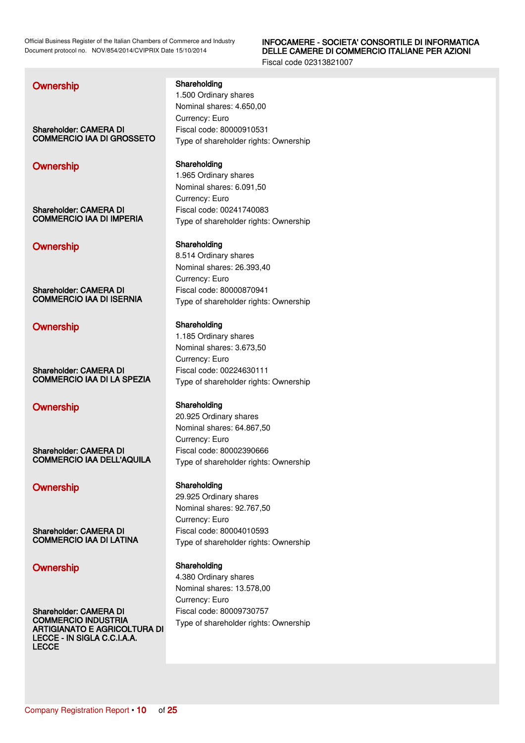### INFOCAMERE - SOCIETA' CONSORTILE DI INFORMATICA DELLE CAMERE DI COMMERCIO ITALIANE PER AZIONI

Fiscal code 02313821007

### **Ownership Shareholding** Shareholding

1.500 Ordinary shares

Shareholder: CAMERA DI COMMERCIO IAA DI GROSSETO

### Ownership Shareholding

Shareholder: CAMERA DI COMMERCIO IAA DI IMPERIA

### Ownership Shareholding

Shareholder: CAMERA DI COMMERCIO IAA DI ISERNIA

Shareholder: CAMERA DI COMMERCIO IAA DI LA SPEZIA

### Ownership Shareholding

Shareholder: CAMERA DI COMMERCIO IAA DELL'AQUILA

### Ownership Shareholding

Shareholder: CAMERA DI COMMERCIO IAA DI LATINA

# Ownership Shareholding

Shareholder: CAMERA DI COMMERCIO INDUSTRIA ARTIGIANATO E AGRICOLTURA DI LECCE - IN SIGLA C.C.I.A.A. LECCE

Currency: Euro Fiscal code: 80000910531 Type of shareholder rights: Ownership

Nominal shares: 4.650,00

1.965 Ordinary shares Nominal shares: 6.091,50 Currency: Euro Fiscal code: 00241740083 Type of shareholder rights: Ownership

8.514 Ordinary shares Nominal shares: 26.393,40 Currency: Euro Fiscal code: 80000870941 Type of shareholder rights: Ownership

# Ownership Shareholding

1.185 Ordinary shares Nominal shares: 3.673,50 Currency: Euro Fiscal code: 00224630111 Type of shareholder rights: Ownership

20.925 Ordinary shares Nominal shares: 64.867,50 Currency: Euro Fiscal code: 80002390666 Type of shareholder rights: Ownership

29.925 Ordinary shares Nominal shares: 92.767,50 Currency: Euro Fiscal code: 80004010593 Type of shareholder rights: Ownership

4.380 Ordinary shares Nominal shares: 13.578,00 Currency: Euro Fiscal code: 80009730757 Type of shareholder rights: Ownership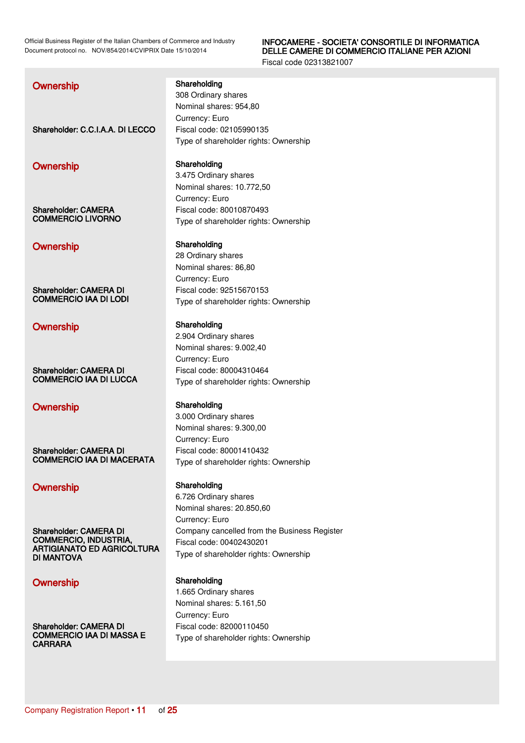### INFOCAMERE - SOCIETA' CONSORTILE DI INFORMATICA DELLE CAMERE DI COMMERCIO ITALIANE PER AZIONI

Fiscal code 02313821007

# Shareholder: C.C.I.A.A. DI LECCO Fiscal code: 02105990135 Ownership Shareholding Shareholder: CAMERA COMMERCIO LIVORNO Ownership Shareholding Shareholder: CAMERA DI COMMERCIO IAA DI LODI Ownership Shareholding Shareholder: CAMERA DI COMMERCIO IAA DI LUCCA Ownership Shareholding

Shareholder: CAMERA DI COMMERCIO IAA DI MACERATA

# Ownership Shareholding

Shareholder: CAMERA DI COMMERCIO, INDUSTRIA, ARTIGIANATO ED AGRICOLTURA DI MANTOVA

### Ownership Shareholding

Shareholder: CAMERA DI COMMERCIO IAA DI MASSA E **CARRARA** 

### **Ownership Shareholding** Shareholding

308 Ordinary shares Nominal shares: 954,80 Currency: Euro Type of shareholder rights: Ownership

3.475 Ordinary shares Nominal shares: 10.772,50 Currency: Euro Fiscal code: 80010870493 Type of shareholder rights: Ownership

28 Ordinary shares Nominal shares: 86,80 Currency: Euro Fiscal code: 92515670153 Type of shareholder rights: Ownership

2.904 Ordinary shares Nominal shares: 9.002,40 Currency: Euro Fiscal code: 80004310464 Type of shareholder rights: Ownership

3.000 Ordinary shares Nominal shares: 9.300,00 Currency: Euro Fiscal code: 80001410432 Type of shareholder rights: Ownership

6.726 Ordinary shares Nominal shares: 20.850,60 Currency: Euro Company cancelled from the Business Register Fiscal code: 00402430201 Type of shareholder rights: Ownership

1.665 Ordinary shares Nominal shares: 5.161,50 Currency: Euro Fiscal code: 82000110450 Type of shareholder rights: Ownership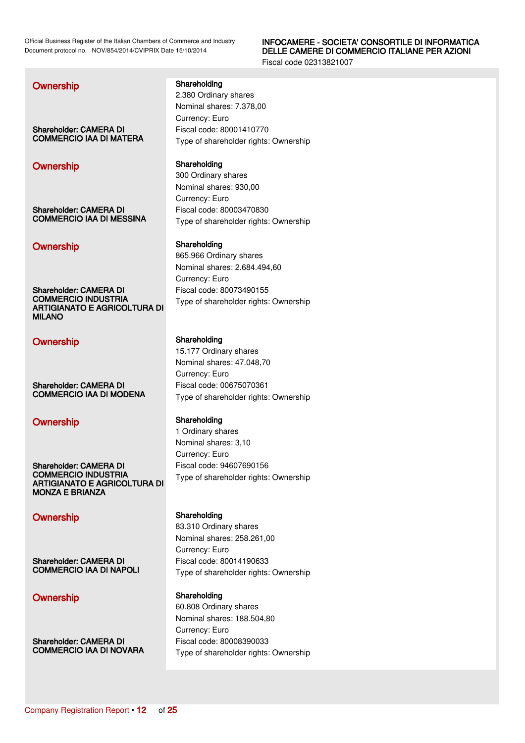### INFOCAMERE - SOCIETA' CONSORTILE DI INFORMATICA DELLE CAMERE DI COMMERCIO ITALIANE PER AZIONI

Fiscal code 02313821007

Shareholder: CAMERA DI COMMERCIO IAA DI MATERA

### Ownership Shareholding

Shareholder: CAMERA DI COMMERCIO IAA DI MESSINA

### Ownership Shareholding

Shareholder: CAMERA DI COMMERCIO INDUSTRIA ARTIGIANATO E AGRICOLTURA DI MILANO

### Ownership Shareholding

Shareholder: CAMERA DI COMMERCIO IAA DI MODENA

# Ownership Shareholding

Shareholder: CAMERA DI COMMERCIO INDUSTRIA ARTIGIANATO E AGRICOLTURA DI MONZA E BRIANZA

Shareholder: CAMERA DI COMMERCIO IAA DI NAPOLI

### Ownership Shareholding

Shareholder: CAMERA DI COMMERCIO IAA DI NOVARA

**Ownership Shareholding** Shareholding

2.380 Ordinary shares Nominal shares: 7.378,00 Currency: Euro Fiscal code: 80001410770 Type of shareholder rights: Ownership

300 Ordinary shares Nominal shares: 930,00 Currency: Euro Fiscal code: 80003470830 Type of shareholder rights: Ownership

865.966 Ordinary shares Nominal shares: 2.684.494,60 Currency: Euro Fiscal code: 80073490155 Type of shareholder rights: Ownership

15.177 Ordinary shares Nominal shares: 47.048,70 Currency: Euro Fiscal code: 00675070361 Type of shareholder rights: Ownership

1 Ordinary shares Nominal shares: 3,10 Currency: Euro Fiscal code: 94607690156 Type of shareholder rights: Ownership

### Ownership Shareholding

83.310 Ordinary shares Nominal shares: 258.261,00 Currency: Euro Fiscal code: 80014190633 Type of shareholder rights: Ownership

60.808 Ordinary shares Nominal shares: 188.504,80 Currency: Euro Fiscal code: 80008390033 Type of shareholder rights: Ownership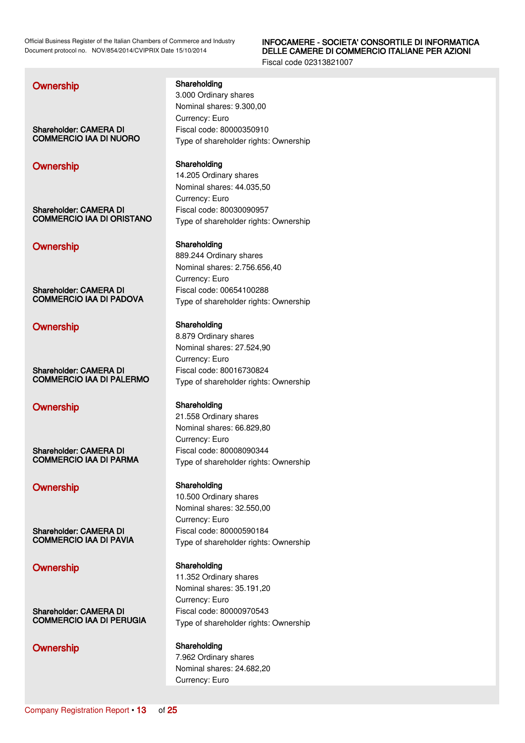### INFOCAMERE - SOCIETA' CONSORTILE DI INFORMATICA DELLE CAMERE DI COMMERCIO ITALIANE PER AZIONI

Fiscal code 02313821007

### **Ownership Shareholding** Shareholding

Shareholder: CAMERA DI COMMERCIO IAA DI NUORO

# Ownership Shareholding

Shareholder: CAMERA DI COMMERCIO IAA DI ORISTANO

### Ownership Shareholding

Shareholder: CAMERA DI COMMERCIO IAA DI PADOVA

# Ownership Shareholding

Shareholder: CAMERA DI COMMERCIO IAA DI PALERMO

### Ownership Shareholding

Shareholder: CAMERA DI COMMERCIO IAA DI PARMA

# Ownership Shareholding

Shareholder: CAMERA DI COMMERCIO IAA DI PAVIA

# Ownership Shareholding

Shareholder: CAMERA DI COMMERCIO IAA DI PERUGIA

3.000 Ordinary shares

Nominal shares: 9.300,00 Currency: Euro Fiscal code: 80000350910 Type of shareholder rights: Ownership

14.205 Ordinary shares Nominal shares: 44.035,50 Currency: Euro Fiscal code: 80030090957 Type of shareholder rights: Ownership

889.244 Ordinary shares Nominal shares: 2.756.656,40 Currency: Euro Fiscal code: 00654100288 Type of shareholder rights: Ownership

8.879 Ordinary shares Nominal shares: 27.524,90 Currency: Euro Fiscal code: 80016730824 Type of shareholder rights: Ownership

21.558 Ordinary shares Nominal shares: 66.829,80 Currency: Euro Fiscal code: 80008090344 Type of shareholder rights: Ownership

10.500 Ordinary shares Nominal shares: 32.550,00 Currency: Euro Fiscal code: 80000590184 Type of shareholder rights: Ownership

11.352 Ordinary shares Nominal shares: 35.191,20 Currency: Euro Fiscal code: 80000970543 Type of shareholder rights: Ownership

### Ownership Shareholding

7.962 Ordinary shares Nominal shares: 24.682,20 Currency: Euro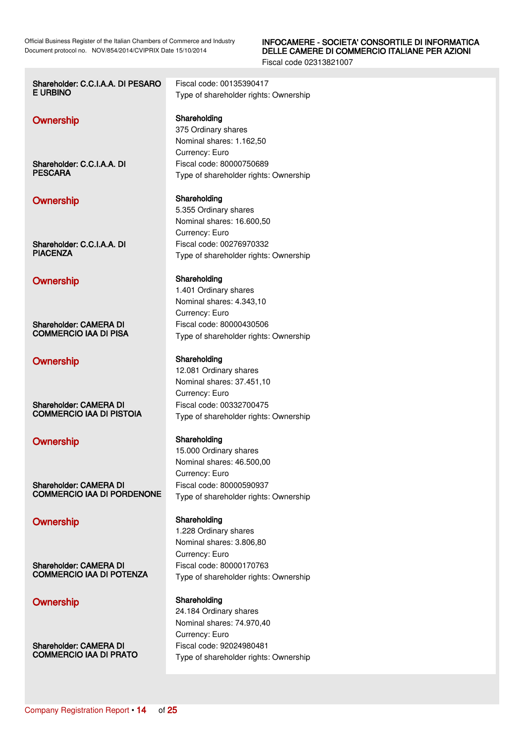| Shareholder: C.C.I.A.A. DI PESARO | Fiscal code: 00135390417                                                              |
|-----------------------------------|---------------------------------------------------------------------------------------|
| E URBINO                          | Type of shareholder rights: Ownership                                                 |
| Ownership                         | Shareholding<br>375 Ordinary shares<br>Nominal shares: 1.162,50<br>Currency: Euro     |
| Shareholder: C.C.I.A.A. DI        | Fiscal code: 80000750689                                                              |
| <b>PESCARA</b>                    | Type of shareholder rights: Ownership                                                 |
| Ownership                         | Shareholding<br>5.355 Ordinary shares<br>Nominal shares: 16.600,50<br>Currency: Euro  |
| Shareholder: C.C.I.A.A. DI        | Fiscal code: 00276970332                                                              |
| <b>PIACENZA</b>                   | Type of shareholder rights: Ownership                                                 |
| Ownership                         | Shareholding<br>1.401 Ordinary shares<br>Nominal shares: 4.343,10<br>Currency: Euro   |
| Shareholder: CAMERA DI            | Fiscal code: 80000430506                                                              |
| <b>COMMERCIO IAA DI PISA</b>      | Type of shareholder rights: Ownership                                                 |
| Ownership                         | Shareholding<br>12.081 Ordinary shares<br>Nominal shares: 37.451,10<br>Currency: Euro |
| Shareholder: CAMERA DI            | Fiscal code: 00332700475                                                              |
| <b>COMMERCIO IAA DI PISTOIA</b>   | Type of shareholder rights: Ownership                                                 |
| Ownership                         | Shareholding<br>15.000 Ordinary shares<br>Nominal shares: 46.500,00<br>Currency: Euro |
| <b>Shareholder: CAMERA DI</b>     | Fiscal code: 80000590937                                                              |
| <b>COMMERCIO IAA DI PORDENONE</b> | Type of shareholder rights: Ownership                                                 |
| Ownership                         | Shareholding<br>1.228 Ordinary shares<br>Nominal shares: 3.806,80<br>Currency: Euro   |
| Shareholder: CAMERA DI            | Fiscal code: 80000170763                                                              |
| <b>COMMERCIO IAA DI POTENZA</b>   | Type of shareholder rights: Ownership                                                 |
| Ownership                         | Shareholding<br>24.184 Ordinary shares<br>Nominal shares: 74.970,40<br>Currency: Euro |
| Shareholder: CAMERA DI            | Fiscal code: 92024980481                                                              |
| <b>COMMERCIO IAA DI PRATO</b>     | Type of shareholder rights: Ownership                                                 |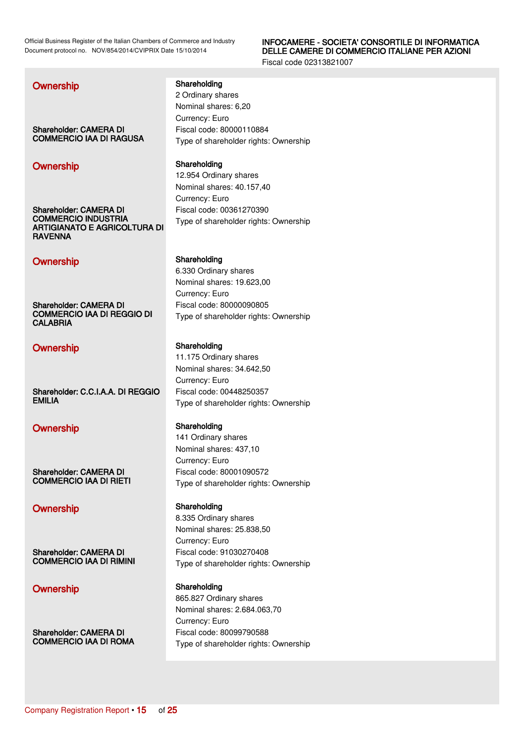### INFOCAMERE - SOCIETA' CONSORTILE DI INFORMATICA DELLE CAMERE DI COMMERCIO ITALIANE PER AZIONI

Fiscal code 02313821007

Shareholder: CAMERA DI COMMERCIO IAA DI RAGUSA

# Ownership Shareholding

Shareholder: CAMERA DI COMMERCIO INDUSTRIA ARTIGIANATO E AGRICOLTURA DI **RAVENNA** 

# Ownership Shareholding

Shareholder: CAMERA DI COMMERCIO IAA DI REGGIO DI **CALABRIA** 

# Ownership Shareholding

Shareholder: C.C.I.A.A. DI REGGIO EMILIA

### Ownership Shareholding

Shareholder: CAMERA DI COMMERCIO IAA DI RIETI

Shareholder: CAMERA DI COMMERCIO IAA DI RIMINI

# Ownership Shareholding

Shareholder: CAMERA DI COMMERCIO IAA DI ROMA

### **Ownership Shareholding** Shareholding

2 Ordinary shares Nominal shares: 6,20 Currency: Euro Fiscal code: 80000110884 Type of shareholder rights: Ownership

12.954 Ordinary shares Nominal shares: 40.157,40 Currency: Euro Fiscal code: 00361270390 Type of shareholder rights: Ownership

6.330 Ordinary shares Nominal shares: 19.623,00 Currency: Euro Fiscal code: 80000090805 Type of shareholder rights: Ownership

11.175 Ordinary shares Nominal shares: 34.642,50 Currency: Euro Fiscal code: 00448250357 Type of shareholder rights: Ownership

141 Ordinary shares Nominal shares: 437,10 Currency: Euro Fiscal code: 80001090572 Type of shareholder rights: Ownership

### Ownership Shareholding

8.335 Ordinary shares Nominal shares: 25.838,50 Currency: Euro Fiscal code: 91030270408 Type of shareholder rights: Ownership

865.827 Ordinary shares Nominal shares: 2.684.063,70 Currency: Euro Fiscal code: 80099790588 Type of shareholder rights: Ownership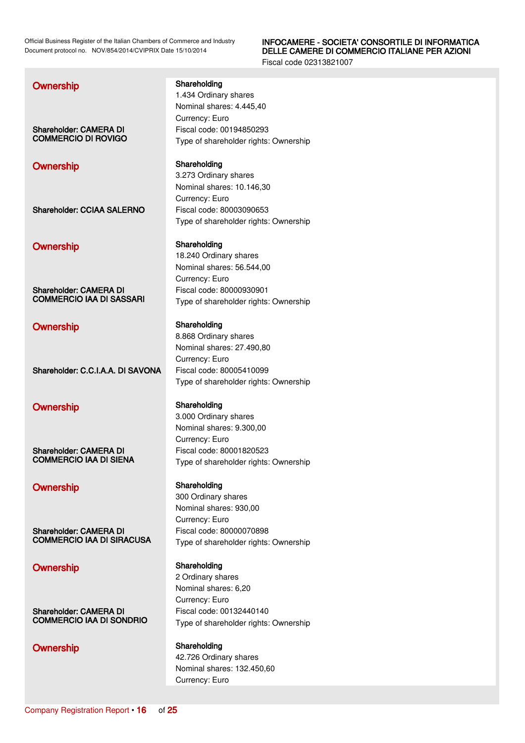### INFOCAMERE - SOCIETA' CONSORTILE DI INFORMATICA DELLE CAMERE DI COMMERCIO ITALIANE PER AZIONI

Fiscal code 02313821007

| Ownership                         | Shareholding<br>1.434 Ordinary shares             |
|-----------------------------------|---------------------------------------------------|
|                                   | Nominal shares: 4.445,40                          |
|                                   | Currency: Euro                                    |
| <b>Shareholder: CAMERA DI</b>     | Fiscal code: 00194850293                          |
| <b>COMMERCIO DI ROVIGO</b>        | Type of shareholder rights: Owr                   |
| Ownership                         | Shareholding                                      |
|                                   | 3.273 Ordinary shares                             |
|                                   | Nominal shares: 10.146,30                         |
|                                   | Currency: Euro<br>Fiscal code: 80003090653        |
| <b>Shareholder: CCIAA SALERNO</b> | Type of shareholder rights: Owr                   |
|                                   |                                                   |
| Ownership                         | Shareholding                                      |
|                                   | 18.240 Ordinary shares                            |
|                                   | Nominal shares: 56.544,00                         |
|                                   | Currency: Euro                                    |
| <b>Shareholder: CAMERA DI</b>     | Fiscal code: 80000930901                          |
| <b>COMMERCIO IAA DI SASSARI</b>   | Type of shareholder rights: Owr                   |
|                                   | Shareholding                                      |
| Ownership                         | 8.868 Ordinary shares                             |
|                                   |                                                   |
|                                   |                                                   |
|                                   | Nominal shares: 27.490,80<br>Currency: Euro       |
| Shareholder: C.C.I.A.A. DI SAVONA | Fiscal code: 80005410099                          |
|                                   | Type of shareholder rights: Owr                   |
|                                   |                                                   |
| Ownership                         | Shareholding                                      |
|                                   | 3.000 Ordinary shares<br>Nominal shares: 9.300,00 |
|                                   | Currency: Euro                                    |
| <b>Shareholder: CAMERA DI</b>     | Fiscal code: 80001820523                          |
| <b>COMMERCIO IAA DI SIENA</b>     | Type of shareholder rights: Owr                   |
|                                   |                                                   |
| Ownership                         | Shareholding<br>300 Ordinary shares               |
|                                   | Nominal shares: 930,00                            |
|                                   | Currency: Euro                                    |
| <b>Shareholder: CAMERA DI</b>     | Fiscal code: 80000070898                          |
| <b>COMMERCIO IAA DI SIRACUSA</b>  | Type of shareholder rights: Owr                   |

Shareholder: CAMERA DI COMMERCIO IAA DI SONDRIO

**Tership** 

hership

**Tership** 

**Tership** 

**Tership** 

**Tership** 

# Ownership Shareholding

2 Ordinary shares Nominal shares: 6,20 Currency: Euro Fiscal code: 00132440140 Type of shareholder rights: Ownership

### Ownership Shareholding 42.726 Ordinary shares Nominal shares: 132.450,60 Currency: Euro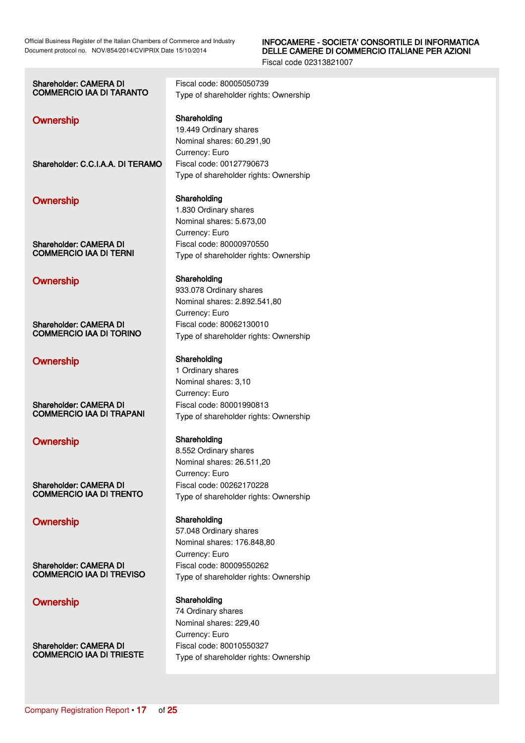### INFOCAMERE - SOCIETA' CONSORTILE DI INFORMATICA DELLE CAMERE DI COMMERCIO ITALIANE PER AZIONI

| <b>Shareholder: CAMERA DI</b><br><b>COMMERCIO IAA DI TARANTO</b> | Fiscal code: 80005050739<br>Type of shareholder rights: Ownership                         |
|------------------------------------------------------------------|-------------------------------------------------------------------------------------------|
| Ownership                                                        | Shareholding<br>19.449 Ordinary shares<br>Nominal shares: 60.291,90<br>Currency: Euro     |
| Shareholder: C.C.I.A.A. DI TERAMO                                | Fiscal code: 00127790673<br>Type of shareholder rights: Ownership                         |
| Ownership                                                        | Shareholding<br>1.830 Ordinary shares<br>Nominal shares: 5.673,00<br>Currency: Euro       |
| <b>Shareholder: CAMERA DI</b><br><b>COMMERCIO IAA DI TERNI</b>   | Fiscal code: 80000970550<br>Type of shareholder rights: Ownership                         |
| Ownership                                                        | Shareholding<br>933.078 Ordinary shares<br>Nominal shares: 2.892.541,80<br>Currency: Euro |
| Shareholder: CAMERA DI<br><b>COMMERCIO IAA DI TORINO</b>         | Fiscal code: 80062130010<br>Type of shareholder rights: Ownership                         |
| Ownership                                                        | Shareholding<br>1 Ordinary shares<br>Nominal shares: 3,10<br>Currency: Euro               |
| <b>Shareholder: CAMERA DI</b><br><b>COMMERCIO IAA DI TRAPANI</b> | Fiscal code: 80001990813<br>Type of shareholder rights: Ownership                         |
| Ownership                                                        | Shareholding<br>8.552 Ordinary shares<br>Nominal shares: 26.511,20<br>Currency: Euro      |
| <b>Shareholder: CAMERA DI</b><br><b>COMMERCIO IAA DI TRENTO</b>  | Fiscal code: 00262170228<br>Type of shareholder rights: Ownership                         |
| Ownership                                                        | Shareholding<br>57.048 Ordinary shares<br>Nominal shares: 176.848,80<br>Currency: Euro    |
| Shareholder: CAMERA DI<br><b>COMMERCIO IAA DI TREVISO</b>        | Fiscal code: 80009550262<br>Type of shareholder rights: Ownership                         |
| Ownership                                                        | Shareholding<br>74 Ordinary shares<br>Nominal shares: 229,40<br>Currency: Euro            |
| <b>Shareholder: CAMERA DI</b><br><b>COMMERCIO IAA DI TRIESTE</b> | Fiscal code: 80010550327<br>Type of shareholder rights: Ownership                         |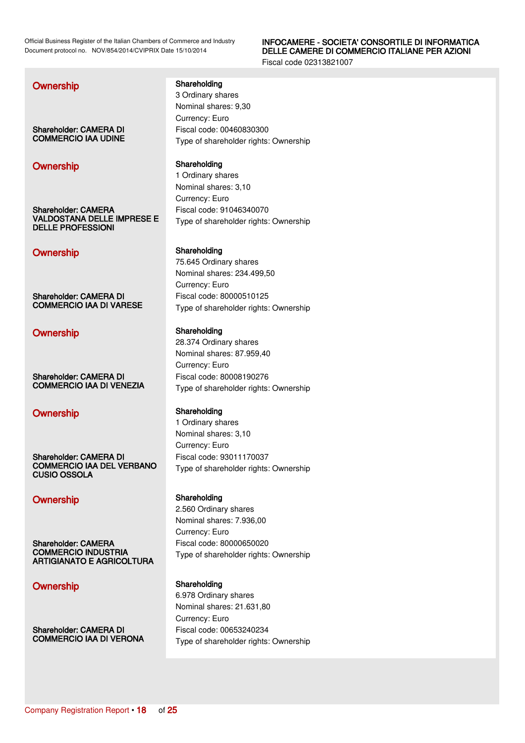### INFOCAMERE - SOCIETA' CONSORTILE DI INFORMATICA DELLE CAMERE DI COMMERCIO ITALIANE PER AZIONI

Fiscal code 02313821007

Shareholder: CAMERA DI COMMERCIO IAA UDINE

# Ownership Shareholding

Shareholder: CAMERA VALDOSTANA DELLE IMPRESE E DELLE PROFESSIONI

# Ownership Shareholding

Shareholder: CAMERA DI COMMERCIO IAA DI VARESE

### Ownership Shareholding

Shareholder: CAMERA DI COMMERCIO IAA DI VENEZIA

### Ownership Shareholding

Shareholder: CAMERA DI COMMERCIO IAA DEL VERBANO CUSIO OSSOLA

# Ownership Shareholding

Shareholder: CAMERA COMMERCIO INDUSTRIA ARTIGIANATO E AGRICOLTURA

Shareholder: CAMERA DI COMMERCIO IAA DI VERONA

### **Ownership Shareholding** Shareholding

3 Ordinary shares Nominal shares: 9,30 Currency: Euro Fiscal code: 00460830300 Type of shareholder rights: Ownership

1 Ordinary shares Nominal shares: 3,10 Currency: Euro Fiscal code: 91046340070 Type of shareholder rights: Ownership

75.645 Ordinary shares Nominal shares: 234.499,50 Currency: Euro Fiscal code: 80000510125 Type of shareholder rights: Ownership

28.374 Ordinary shares Nominal shares: 87.959,40 Currency: Euro Fiscal code: 80008190276 Type of shareholder rights: Ownership

1 Ordinary shares Nominal shares: 3,10 Currency: Euro Fiscal code: 93011170037 Type of shareholder rights: Ownership

2.560 Ordinary shares Nominal shares: 7.936,00 Currency: Euro Fiscal code: 80000650020 Type of shareholder rights: Ownership

### Ownership Shareholding

6.978 Ordinary shares Nominal shares: 21.631,80 Currency: Euro Fiscal code: 00653240234 Type of shareholder rights: Ownership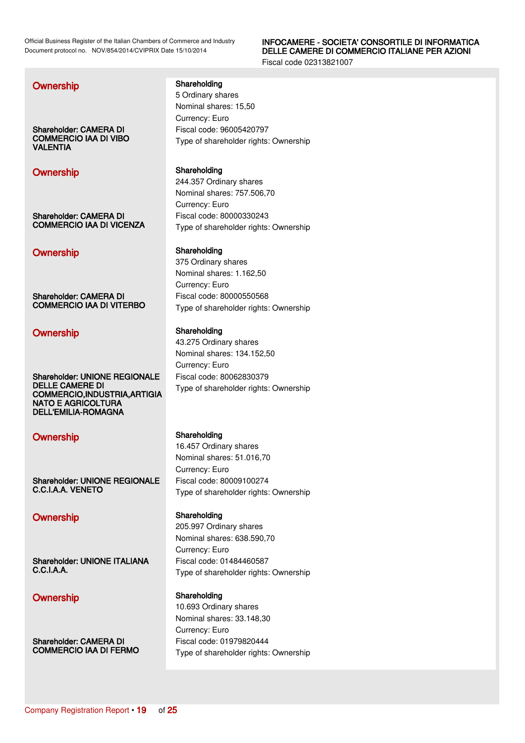### INFOCAMERE - SOCIETA' CONSORTILE DI INFORMATICA DELLE CAMERE DI COMMERCIO ITALIANE PER AZIONI

Fiscal code 02313821007

### **Ownership Shareholding** Shareholding

Shareholder: CAMERA DI COMMERCIO IAA DI VIBO VALENTIA

# Ownership Shareholding

Shareholder: CAMERA DI COMMERCIO IAA DI VICENZA

# Ownership Shareholding

Shareholder: CAMERA DI COMMERCIO IAA DI VITERBO

# Ownership Shareholding

Shareholder: UNIONE REGIONALE DELLE CAMERE DI COMMERCIO,INDUSTRIA,ARTIGIA NATO E AGRICOLTURA DELL'EMILIA-ROMAGNA

# Ownership Shareholding

Shareholder: UNIONE REGIONALE C.C.I.A.A. VENETO

Shareholder: UNIONE ITALIANA C.C.I.A.A.

### Ownership Shareholding

Shareholder: CAMERA DI COMMERCIO IAA DI FERMO 5 Ordinary shares Nominal shares: 15,50 Currency: Euro Fiscal code: 96005420797 Type of shareholder rights: Ownership

244.357 Ordinary shares Nominal shares: 757.506,70 Currency: Euro Fiscal code: 80000330243 Type of shareholder rights: Ownership

375 Ordinary shares Nominal shares: 1.162,50 Currency: Euro Fiscal code: 80000550568 Type of shareholder rights: Ownership

43.275 Ordinary shares Nominal shares: 134.152,50 Currency: Euro Fiscal code: 80062830379 Type of shareholder rights: Ownership

16.457 Ordinary shares Nominal shares: 51.016,70 Currency: Euro Fiscal code: 80009100274 Type of shareholder rights: Ownership

### Ownership Shareholding

205.997 Ordinary shares Nominal shares: 638.590,70 Currency: Euro Fiscal code: 01484460587 Type of shareholder rights: Ownership

10.693 Ordinary shares Nominal shares: 33.148,30 Currency: Euro Fiscal code: 01979820444 Type of shareholder rights: Ownership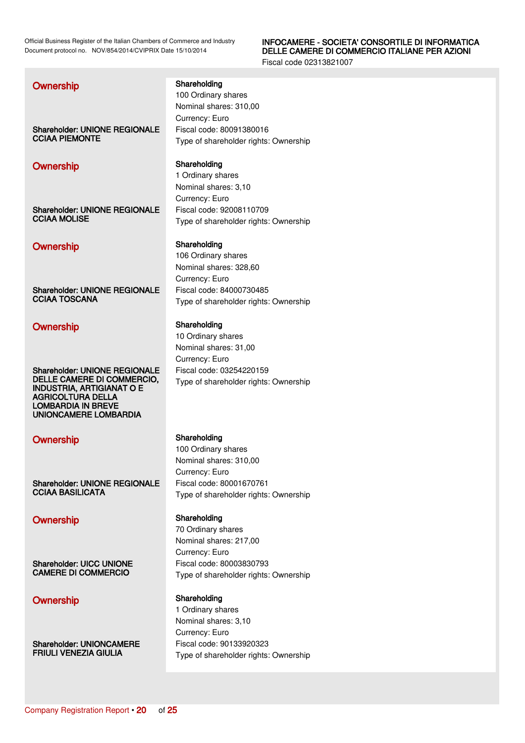### INFOCAMERE - SOCIETA' CONSORTILE DI INFORMATICA DELLE CAMERE DI COMMERCIO ITALIANE PER AZIONI

Fiscal code 02313821007

| Ownership                                                      | Shareholding<br>100 Ordinary shares   |
|----------------------------------------------------------------|---------------------------------------|
|                                                                | Nominal shares: 310,00                |
|                                                                | Currency: Euro                        |
| <b>Shareholder: UNIONE REGIONALE</b>                           | Fiscal code: 80091380016              |
| <b>CCIAA PIEMONTE</b>                                          | Type of shareholder rights: Ownership |
| <b>Ownership</b>                                               | Shareholding                          |
|                                                                | 1 Ordinary shares                     |
|                                                                | Nominal shares: 3,10                  |
|                                                                | Currency: Euro                        |
| <b>Shareholder: UNIONE REGIONALE</b><br><b>CCIAA MOLISE</b>    | Fiscal code: 92008110709              |
|                                                                | Type of shareholder rights: Ownership |
| Ownership                                                      | Shareholding                          |
|                                                                | 106 Ordinary shares                   |
|                                                                | Nominal shares: 328,60                |
|                                                                | Currency: Euro                        |
| <b>Shareholder: UNIONE REGIONALE</b><br><b>CCIAA TOSCANA</b>   | Fiscal code: 84000730485              |
|                                                                | Type of shareholder rights: Ownership |
| Ownership                                                      | Shareholding                          |
|                                                                | 10 Ordinary shares                    |
|                                                                | Nominal shares: 31,00                 |
|                                                                | Currency: Euro                        |
| <b>Shareholder: UNIONE REGIONALE</b>                           | Fiscal code: 03254220159              |
| DELLE CAMERE DI COMMERCIO,<br><b>INDUSTRIA, ARTIGIANAT O E</b> | Type of shareholder rights: Ownership |
| <b>AGRICOLTURA DELLA</b>                                       |                                       |
| <b>LOMBARDIA IN BREVE</b><br><b>UNIONCAMERE LOMBARDIA</b>      |                                       |
|                                                                |                                       |
| <b>Ownership</b>                                               | Shareholding                          |
|                                                                | 100 Ordinary shares                   |
|                                                                | Nominal shares: 310,00                |
|                                                                | Currency: Euro                        |
| <b>Shareholder: UNIONE REGIONALE</b>                           | Fiscal code: 80001670761              |
| <b>CCIAA BASILICATA</b>                                        | Type of shareholder rights: Ownership |
| Ownership                                                      | Shareholding                          |
|                                                                | 70 Ordinary shares                    |
|                                                                | Nominal shares: 217,00                |
|                                                                | Currency: Euro                        |
| <b>Shareholder: UICC UNIONE</b>                                | Fiscal code: 80003830793              |
| <b>CAMERE DI COMMERCIO</b>                                     | Type of shareholder rights: Ownership |
| Ownership                                                      | Shareholding                          |
|                                                                | 1 Ordinary shares                     |
|                                                                | Nominal shares: 3,10                  |

Currency: Euro

Fiscal code: 90133920323

Type of shareholder rights: Ownership

Shareholder: UNIONCAMERE FRIULI VENEZIA GIULIA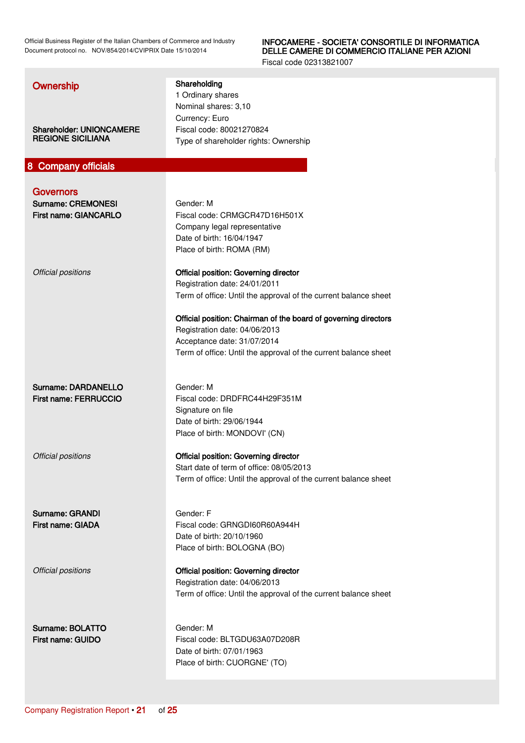### INFOCAMERE - SOCIETA' CONSORTILE DI INFORMATICA DELLE CAMERE DI COMMERCIO ITALIANE PER AZIONI

<span id="page-20-0"></span>

| Ownership<br><b>Shareholder: UNIONCAMERE</b><br><b>REGIONE SICILIANA</b> | Shareholding<br>1 Ordinary shares<br>Nominal shares: 3,10<br>Currency: Euro<br>Fiscal code: 80021270824<br>Type of shareholder rights: Ownership                                                   |
|--------------------------------------------------------------------------|----------------------------------------------------------------------------------------------------------------------------------------------------------------------------------------------------|
|                                                                          |                                                                                                                                                                                                    |
| 8 Company officials                                                      |                                                                                                                                                                                                    |
| <b>Governors</b><br><b>Surname: CREMONESI</b><br>First name: GIANCARLO   | Gender: M<br>Fiscal code: CRMGCR47D16H501X<br>Company legal representative<br>Date of birth: 16/04/1947<br>Place of birth: ROMA (RM)                                                               |
| Official positions                                                       | <b>Official position: Governing director</b><br>Registration date: 24/01/2011<br>Term of office: Until the approval of the current balance sheet                                                   |
|                                                                          | Official position: Chairman of the board of governing directors<br>Registration date: 04/06/2013<br>Acceptance date: 31/07/2014<br>Term of office: Until the approval of the current balance sheet |
| Surname: DARDANELLO<br><b>First name: FERRUCCIO</b>                      | Gender: M<br>Fiscal code: DRDFRC44H29F351M<br>Signature on file<br>Date of birth: 29/06/1944<br>Place of birth: MONDOVI' (CN)                                                                      |
| Official positions                                                       | <b>Official position: Governing director</b><br>Start date of term of office: 08/05/2013<br>Term of office: Until the approval of the current balance sheet                                        |
| Surname: GRANDI<br>First name: GIADA                                     | Gender: F<br>Fiscal code: GRNGDI60R60A944H<br>Date of birth: 20/10/1960<br>Place of birth: BOLOGNA (BO)                                                                                            |
| Official positions                                                       | Official position: Governing director<br>Registration date: 04/06/2013<br>Term of office: Until the approval of the current balance sheet                                                          |
| Surname: BOLATTO<br>First name: GUIDO                                    | Gender: M<br>Fiscal code: BLTGDU63A07D208R<br>Date of birth: 07/01/1963<br>Place of birth: CUORGNE' (TO)                                                                                           |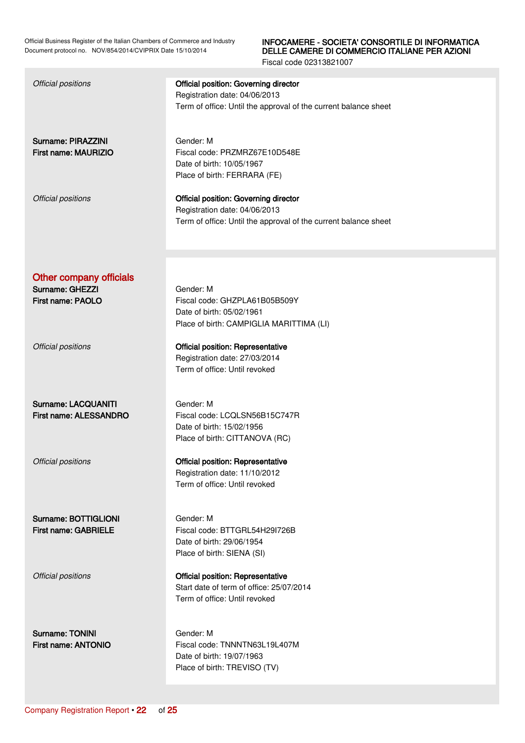### INFOCAMERE - SOCIETA' CONSORTILE DI INFORMATICA DELLE CAMERE DI COMMERCIO ITALIANE PER AZIONI

| <b>Official positions</b>                     | <b>Official position: Governing director</b><br>Registration date: 04/06/2013<br>Term of office: Until the approval of the current balance sheet |
|-----------------------------------------------|--------------------------------------------------------------------------------------------------------------------------------------------------|
| Surname: PIRAZZINI<br>First name: MAURIZIO    | Gender: M<br>Fiscal code: PRZMRZ67E10D548E<br>Date of birth: 10/05/1967<br>Place of birth: FERRARA (FE)                                          |
| Official positions                            | <b>Official position: Governing director</b><br>Registration date: 04/06/2013<br>Term of office: Until the approval of the current balance sheet |
|                                               |                                                                                                                                                  |
| <b>Other company officials</b>                |                                                                                                                                                  |
| Surname: GHEZZI                               | Gender: M                                                                                                                                        |
| First name: PAOLO                             | Fiscal code: GHZPLA61B05B509Y                                                                                                                    |
|                                               | Date of birth: 05/02/1961                                                                                                                        |
|                                               | Place of birth: CAMPIGLIA MARITTIMA (LI)                                                                                                         |
| Official positions                            | <b>Official position: Representative</b>                                                                                                         |
|                                               | Registration date: 27/03/2014                                                                                                                    |
|                                               | Term of office: Until revoked                                                                                                                    |
|                                               |                                                                                                                                                  |
|                                               |                                                                                                                                                  |
| Surname: LACQUANITI<br>First name: ALESSANDRO | Gender: M<br>Fiscal code: LCQLSN56B15C747R                                                                                                       |
|                                               | Date of birth: 15/02/1956                                                                                                                        |
|                                               | Place of birth: CITTANOVA (RC)                                                                                                                   |
|                                               |                                                                                                                                                  |
| Official positions                            | <b>Official position: Representative</b>                                                                                                         |
|                                               | Registration date: 11/10/2012                                                                                                                    |
|                                               | Term of office: Until revoked                                                                                                                    |
|                                               |                                                                                                                                                  |
| Surname: BOTTIGLIONI                          | Gender: M                                                                                                                                        |
| <b>First name: GABRIELE</b>                   | Fiscal code: BTTGRL54H29I726B                                                                                                                    |
|                                               | Date of birth: 29/06/1954                                                                                                                        |
|                                               | Place of birth: SIENA (SI)                                                                                                                       |
| Official positions                            | <b>Official position: Representative</b>                                                                                                         |
|                                               | Start date of term of office: 25/07/2014                                                                                                         |
|                                               | Term of office: Until revoked                                                                                                                    |
|                                               |                                                                                                                                                  |
| <b>Surname: TONINI</b>                        | Gender: M                                                                                                                                        |
| First name: ANTONIO                           | Fiscal code: TNNNTN63L19L407M                                                                                                                    |
|                                               | Date of birth: 19/07/1963                                                                                                                        |
|                                               | Place of birth: TREVISO (TV)                                                                                                                     |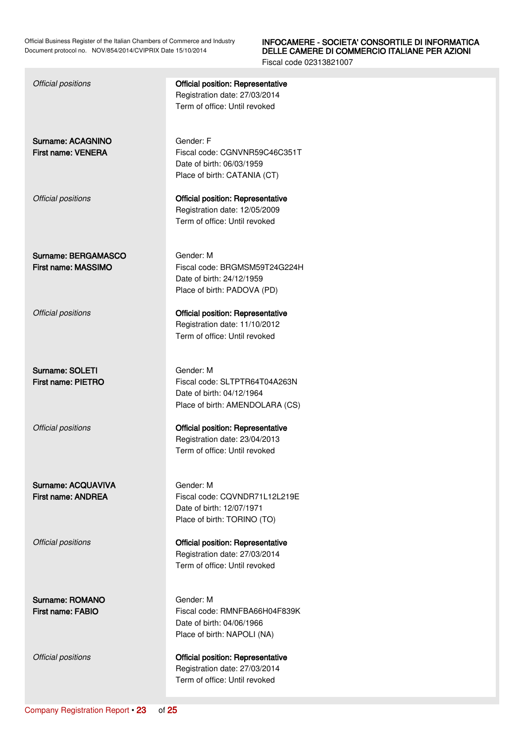### INFOCAMERE - SOCIETA' CONSORTILE DI INFORMATICA DELLE CAMERE DI COMMERCIO ITALIANE PER AZIONI

Fiscal code 02313821007

### Official positions Official position: Representative Registration date: 27/03/2014

Term of office: Until revoked

Surname: ACAGNINO First name: VENERA

Gender: F Fiscal code: CGNVNR59C46C351T Date of birth: 06/03/1959 Place of birth: CATANIA (CT)

Registration date: 12/05/2009 Term of office: Until revoked

Official positions Official position: Representative

Surname: BERGAMASCO First name: MASSIMO

Gender: M Fiscal code: BRGMSM59T24G224H Date of birth: 24/12/1959 Place of birth: PADOVA (PD)

Official positions Official position: Representative Registration date: 11/10/2012 Term of office: Until revoked

Gender: M

Surname: SOLETI First name: PIETRO

Official positions Official position: Representative

Surname: ACQUAVIVA First name: ANDREA

Surname: ROMANO First name: FABIO

Date of birth: 04/12/1964 Place of birth: AMENDOLARA (CS)

Fiscal code: SLTPTR64T04A263N

Registration date: 23/04/2013 Term of office: Until revoked

Gender: M Fiscal code: CQVNDR71L12L219E Date of birth: 12/07/1971 Place of birth: TORINO (TO)

Official positions Official position: Representative Registration date: 27/03/2014 Term of office: Until revoked

> Gender: M Fiscal code: RMNFBA66H04F839K Date of birth: 04/06/1966 Place of birth: NAPOLI (NA)

Official positions Official position: Representative Registration date: 27/03/2014 Term of office: Until revoked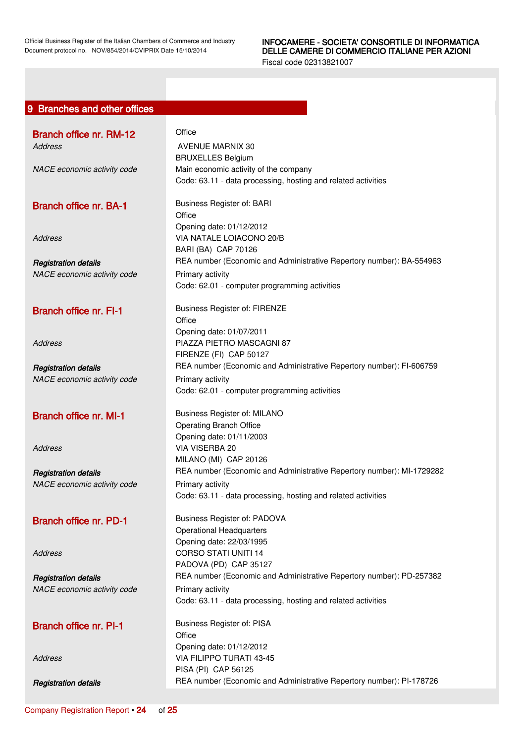<span id="page-23-0"></span>

|  | 9 Branches and other offices |  |
|--|------------------------------|--|
|  |                              |  |

| Branch office nr. RM-12                                    | Office                                                                                        |
|------------------------------------------------------------|-----------------------------------------------------------------------------------------------|
| Address                                                    | <b>AVENUE MARNIX 30</b><br><b>BRUXELLES Belgium</b>                                           |
| NACE economic activity code                                | Main economic activity of the company                                                         |
|                                                            | Code: 63.11 - data processing, hosting and related activities                                 |
| <b>Branch office nr. BA-1</b>                              | Business Register of: BARI                                                                    |
|                                                            | Office<br>Opening date: 01/12/2012                                                            |
| <b>Address</b>                                             | VIA NATALE LOIACONO 20/B                                                                      |
|                                                            | BARI (BA) CAP 70126                                                                           |
| <b>Registration details</b>                                | REA number (Economic and Administrative Repertory number): BA-554963                          |
| NACE economic activity code                                | Primary activity                                                                              |
|                                                            | Code: 62.01 - computer programming activities                                                 |
| <b>Branch office nr. FI-1</b>                              | <b>Business Register of: FIRENZE</b>                                                          |
|                                                            | Office                                                                                        |
|                                                            | Opening date: 01/07/2011<br>PIAZZA PIETRO MASCAGNI 87                                         |
| <b>Address</b>                                             | FIRENZE (FI) CAP 50127                                                                        |
| <b>Registration details</b>                                | REA number (Economic and Administrative Repertory number): FI-606759                          |
| NACE economic activity code                                | Primary activity                                                                              |
|                                                            | Code: 62.01 - computer programming activities                                                 |
| <b>Branch office nr. MI-1</b>                              | Business Register of: MILANO                                                                  |
|                                                            | <b>Operating Branch Office</b>                                                                |
|                                                            | Opening date: 01/11/2003                                                                      |
| <b>Address</b>                                             | VIA VISERBA 20<br>MILANO (MI) CAP 20126                                                       |
|                                                            | REA number (Economic and Administrative Repertory number): MI-1729282                         |
| <b>Registration details</b><br>NACE economic activity code | Primary activity                                                                              |
|                                                            | Code: 63.11 - data processing, hosting and related activities                                 |
| Branch office nr. PD-1                                     | Business Register of: PADOVA                                                                  |
|                                                            | <b>Operational Headquarters</b>                                                               |
|                                                            | Opening date: 22/03/1995                                                                      |
| <b>Address</b>                                             | <b>CORSO STATI UNITI 14</b>                                                                   |
|                                                            | PADOVA (PD) CAP 35127<br>REA number (Economic and Administrative Repertory number): PD-257382 |
| <b>Registration details</b><br>NACE economic activity code | Primary activity                                                                              |
|                                                            | Code: 63.11 - data processing, hosting and related activities                                 |
| <b>Branch office nr. PI-1</b>                              | <b>Business Register of: PISA</b>                                                             |
|                                                            | Office                                                                                        |
|                                                            | Opening date: 01/12/2012                                                                      |
| <b>Address</b>                                             | VIA FILIPPO TURATI 43-45                                                                      |
|                                                            | PISA (PI) CAP 56125                                                                           |
| <b>Registration details</b>                                | REA number (Economic and Administrative Repertory number): PI-178726                          |
|                                                            |                                                                                               |